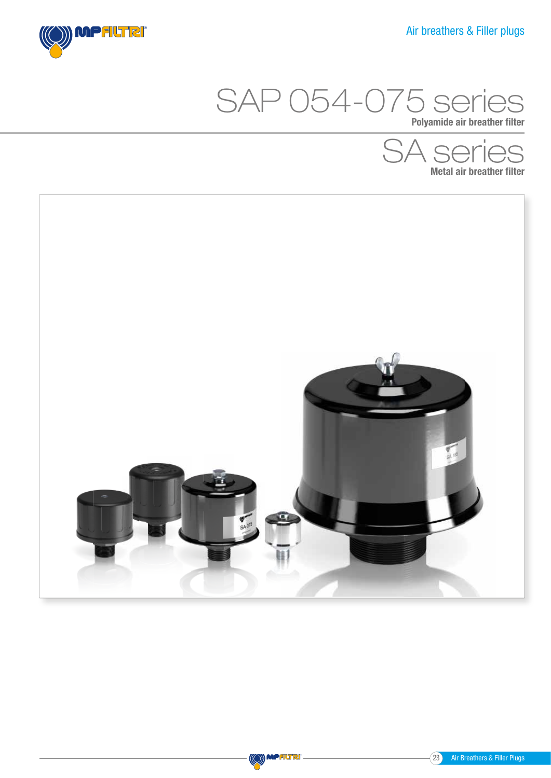



Polyamide air breather filter





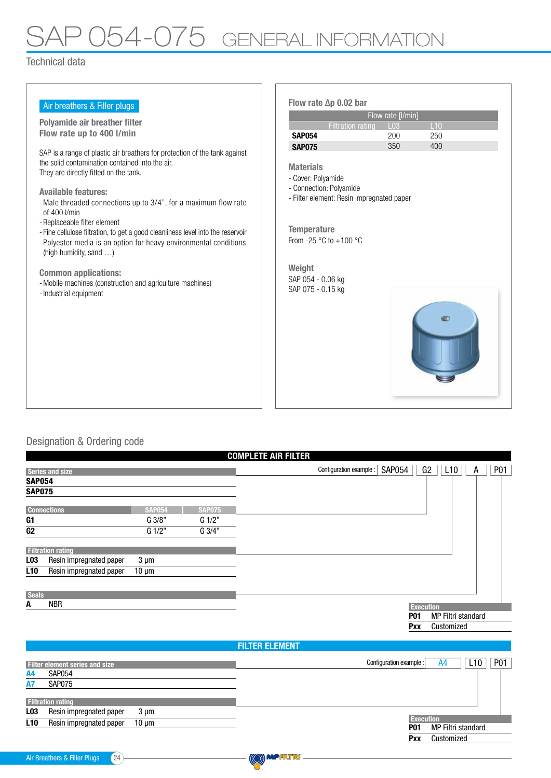# P 054-075 GENERAL INFORMATION

Technical data

| Air breathers & Filler plugs                                                                                                                                                                                                                                                                                                                                                                                                                                                                                                                                                                                                    | Flow rate $\Delta p$ 0.02 bar                                                                                                                                                                                                                                       |
|---------------------------------------------------------------------------------------------------------------------------------------------------------------------------------------------------------------------------------------------------------------------------------------------------------------------------------------------------------------------------------------------------------------------------------------------------------------------------------------------------------------------------------------------------------------------------------------------------------------------------------|---------------------------------------------------------------------------------------------------------------------------------------------------------------------------------------------------------------------------------------------------------------------|
|                                                                                                                                                                                                                                                                                                                                                                                                                                                                                                                                                                                                                                 | Flow rate [I/min]                                                                                                                                                                                                                                                   |
| Polyamide air breather filter<br>Flow rate up to 400 l/min                                                                                                                                                                                                                                                                                                                                                                                                                                                                                                                                                                      | <b>Filtration rating</b><br>110<br>L <sub>03</sub>                                                                                                                                                                                                                  |
|                                                                                                                                                                                                                                                                                                                                                                                                                                                                                                                                                                                                                                 | <b>SAP054</b><br>200<br>250                                                                                                                                                                                                                                         |
| SAP is a range of plastic air breathers for protection of the tank against<br>the solid contamination contained into the air.<br>They are directly fitted on the tank.<br><b>Available features:</b><br>- Male threaded connections up to 3/4", for a maximum flow rate<br>of 400 l/min<br>- Replaceable filter element<br>- Fine cellulose filtration, to get a good cleanliness level into the reservoir<br>- Polyester media is an option for heavy environmental conditions<br>(high humidity, sand )<br><b>Common applications:</b><br>- Mobile machines (construction and agriculture machines)<br>- Industrial equipment | 400<br>350<br><b>SAP075</b><br><b>Materials</b><br>- Cover: Polyamide<br>- Connection: Polyamide<br>- Filter element: Resin impregnated paper<br><b>Temperature</b><br>From -25 $\degree$ C to +100 $\degree$ C<br>Weight<br>SAP 054 - 0.06 kg<br>SAP 075 - 0.15 kg |

### Designation & Ordering code

| <b>COMPLETE AIR FILTER</b>                 |               |               |                                                            |                 |  |  |  |  |
|--------------------------------------------|---------------|---------------|------------------------------------------------------------|-----------------|--|--|--|--|
| <b>Series and size</b>                     |               |               | G2<br><b>SAP054</b><br>L10<br>Configuration example :<br>A | P <sub>01</sub> |  |  |  |  |
| <b>SAP054</b>                              |               |               |                                                            |                 |  |  |  |  |
| <b>SAP075</b>                              |               |               |                                                            |                 |  |  |  |  |
| <b>Connections</b>                         | <b>SAP054</b> | <b>SAP075</b> |                                                            |                 |  |  |  |  |
| G1                                         | G 3/8"        | G 1/2"        |                                                            |                 |  |  |  |  |
| G <sub>2</sub>                             | G 1/2"        | G 3/4"        |                                                            |                 |  |  |  |  |
| <b>Filtration rating</b>                   |               |               |                                                            |                 |  |  |  |  |
| Resin impregnated paper<br>L <sub>03</sub> | $3 \mu m$     |               |                                                            |                 |  |  |  |  |
| L <sub>10</sub><br>Resin impregnated paper | $10 \mu m$    |               |                                                            |                 |  |  |  |  |
| <b>Seals</b>                               |               |               |                                                            |                 |  |  |  |  |
| <b>NBR</b><br>A                            |               |               | <b>Execution</b>                                           |                 |  |  |  |  |
|                                            |               |               | <b>P01</b><br>MP Filtri standard                           |                 |  |  |  |  |
|                                            |               |               | Customized<br>Pxx                                          |                 |  |  |  |  |
|                                            |               |               | <b>FILTER ELEMENT</b>                                      |                 |  |  |  |  |
| <b>Filter element series and size</b>      |               |               | Configuration example :<br>L10<br>A4                       | P <sub>01</sub> |  |  |  |  |

| <b>Filter element series and size</b>                         | P <sub>0</sub> 1<br>L10<br>Configuration example :<br>A4 |
|---------------------------------------------------------------|----------------------------------------------------------|
| <b>SAP054</b><br>A4                                           |                                                          |
| <b>SAP075</b><br><b>A7</b>                                    |                                                          |
|                                                               |                                                          |
| <b>Filtration rating</b>                                      |                                                          |
| L <sub>03</sub><br>Resin impregnated paper<br>$3 \mu m$       |                                                          |
| Resin impregnated paper<br>L <sub>10</sub><br>$10 \text{ µm}$ | <b>Execution</b>                                         |
|                                                               | MP Filtri standard<br>P01                                |
|                                                               | Customized<br>Pxx                                        |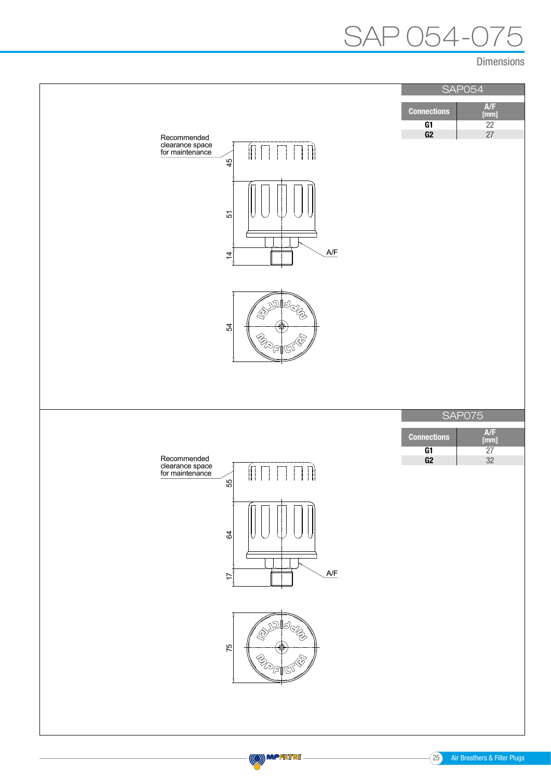## $54-0$

Dimensions





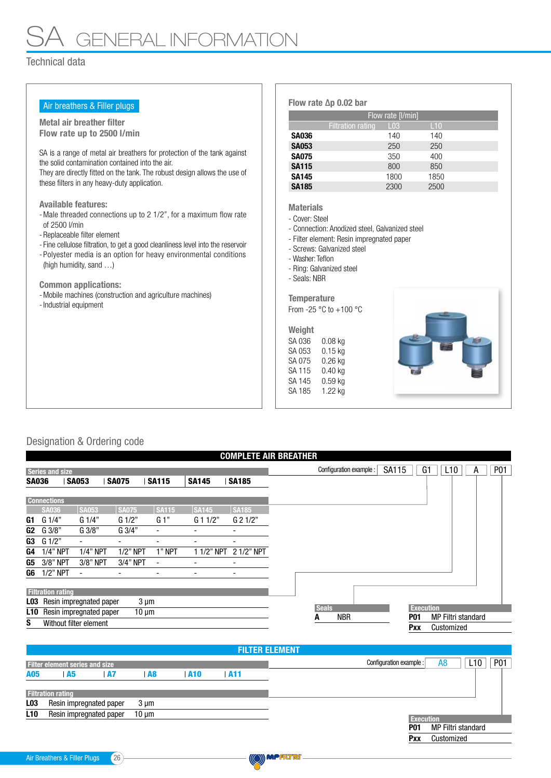## GENERAL INF<u>ORMATION CENERAL INFORMATION</u>

#### Technical data

| Air breathers & Filler plugs                                                                | Flow rate $\Delta p$ 0.02 bar                  |                   |            |  |  |
|---------------------------------------------------------------------------------------------|------------------------------------------------|-------------------|------------|--|--|
| Metal air breather filter                                                                   |                                                | Flow rate [I/min] |            |  |  |
| Flow rate up to 2500 l/min                                                                  | <b>Filtration rating</b>                       | L <sub>03</sub>   | L10        |  |  |
|                                                                                             | <b>SA036</b>                                   | 140               | 140        |  |  |
| SA is a range of metal air breathers for protection of the tank against                     | <b>SA053</b>                                   | 250               | 250        |  |  |
| the solid contamination contained into the air.                                             | <b>SA075</b><br><b>SA115</b>                   | 350<br>800        | 400<br>850 |  |  |
| They are directly fitted on the tank. The robust design allows the use of                   | <b>SA145</b>                                   | 1800              | 1850       |  |  |
| these filters in any heavy-duty application.                                                | <b>SA185</b>                                   | 2300              | 2500       |  |  |
|                                                                                             |                                                |                   |            |  |  |
| <b>Available features:</b>                                                                  | <b>Materials</b>                               |                   |            |  |  |
| - Male threaded connections up to 2 1/2", for a maximum flow rate                           | - Cover: Steel                                 |                   |            |  |  |
| of 2500 l/min                                                                               | - Connection: Anodized steel, Galvanized steel |                   |            |  |  |
| - Replaceable filter element                                                                | - Filter element: Resin impregnated paper      |                   |            |  |  |
| - Fine cellulose filtration, to get a good cleanliness level into the reservoir             | - Screws: Galvanized steel                     |                   |            |  |  |
| - Polyester media is an option for heavy environmental conditions<br>(high humidity, sand ) | - Washer: Teflon                               |                   |            |  |  |
|                                                                                             | - Ring: Galvanized steel                       |                   |            |  |  |
| <b>Common applications:</b>                                                                 | - Seals: NBR                                   |                   |            |  |  |
| - Mobile machines (construction and agriculture machines)                                   |                                                |                   |            |  |  |
| - Industrial equipment                                                                      | <b>Temperature</b>                             |                   |            |  |  |
|                                                                                             | From -25 $^{\circ}$ C to +100 $^{\circ}$ C     |                   |            |  |  |
|                                                                                             | Weight                                         |                   |            |  |  |
|                                                                                             | SA 036<br>$0.08$ kg                            |                   |            |  |  |
|                                                                                             | $0.15$ kg<br>SA 053                            |                   |            |  |  |
|                                                                                             | SA 075<br>$0.26$ kg                            |                   |            |  |  |
|                                                                                             | SA 115<br>$0.40$ kg                            |                   |            |  |  |
|                                                                                             | SA 145<br>$0.59$ kg                            |                   |            |  |  |
|                                                                                             | SA 185<br>1.22 kg                              |                   |            |  |  |

### Designation & Ordering code

|                | <b>COMPLETE AIR BREATHER</b>          |                          |                 |                          |              |                                                                                   |                                                                                           |  |  |  |
|----------------|---------------------------------------|--------------------------|-----------------|--------------------------|--------------|-----------------------------------------------------------------------------------|-------------------------------------------------------------------------------------------|--|--|--|
|                | <b>Series and size</b>                |                          |                 |                          |              | G <sub>1</sub><br><b>SA115</b><br>L <sub>10</sub><br>Configuration example :<br>А | P01                                                                                       |  |  |  |
| <b>SA036</b>   |                                       | <b>SA053</b>             | <b>SA075</b>    | <b>SA115</b>             | <b>SA145</b> | <b>SA185</b>                                                                      |                                                                                           |  |  |  |
|                | <b>Connections</b>                    |                          |                 |                          |              |                                                                                   |                                                                                           |  |  |  |
|                | <b>SA036</b>                          | <b>SA053</b>             | <b>SA075</b>    | <b>SA115</b>             | <b>SA145</b> | <b>SA185</b>                                                                      |                                                                                           |  |  |  |
| G1             | G1/4"                                 | G1/4"                    | $G \frac{1}{2}$ | G 1"                     | G 11/2"      | G 21/2"                                                                           |                                                                                           |  |  |  |
| G <sub>2</sub> | G 3/8"                                | G3/8"                    | $G \frac{3}{4}$ | ۰                        |              | $\overline{\phantom{a}}$                                                          |                                                                                           |  |  |  |
| G3             | G 1/2"                                | $\overline{\phantom{a}}$ |                 | ۰                        |              | -                                                                                 |                                                                                           |  |  |  |
| G4             | $1/4"$ NPT                            | $1/4"$ NPT               | $1/2$ " NPT     | 1" NPT                   | 1 1/2" NPT   | 2 1/2" NPT                                                                        |                                                                                           |  |  |  |
| G5             | 3/8" NPT                              | 3/8" NPT                 | 3/4" NPT        | $\blacksquare$           |              | $\overline{\phantom{a}}$                                                          |                                                                                           |  |  |  |
| G6             | $1/2$ " NPT                           | $\overline{\phantom{a}}$ | -               | $\overline{\phantom{0}}$ | -            | -                                                                                 |                                                                                           |  |  |  |
|                | <b>Filtration rating</b>              |                          |                 |                          |              |                                                                                   |                                                                                           |  |  |  |
| LO3            | Resin impregnated paper<br>$3 \mu m$  |                          |                 |                          |              |                                                                                   |                                                                                           |  |  |  |
| L10            | Resin impregnated paper<br>$10 \mu m$ |                          |                 |                          |              |                                                                                   | <b>Seals</b><br><b>Execution</b><br><b>NBR</b><br><b>MP Filtri standard</b><br><b>P01</b> |  |  |  |
| S              | Without filter element                |                          |                 |                          |              |                                                                                   | A<br>Pxx<br>Customized                                                                    |  |  |  |

|                 | <b>FILTER ELEMENT</b>                 |           |            |            |     |                                  |            |  |  |  |  |
|-----------------|---------------------------------------|-----------|------------|------------|-----|----------------------------------|------------|--|--|--|--|
|                 | <b>Filter element series and size</b> |           |            |            |     | Configuration example :<br>A8    | P01<br>L10 |  |  |  |  |
| A05             | <b>A5</b>                             | <b>A7</b> | A8         | <b>A10</b> | A11 |                                  |            |  |  |  |  |
|                 | <b>Filtration rating</b>              |           |            |            |     |                                  |            |  |  |  |  |
| L <sub>03</sub> | Resin impregnated paper               |           | $3 \mu m$  |            |     |                                  |            |  |  |  |  |
| L <sub>10</sub> | Resin impregnated paper               |           | $10 \mu m$ |            |     | <b>Execution</b>                 |            |  |  |  |  |
|                 |                                       |           |            |            |     | MP Filtri standard<br><b>P01</b> |            |  |  |  |  |
|                 |                                       |           |            |            |     | Customized<br>Pxx                |            |  |  |  |  |